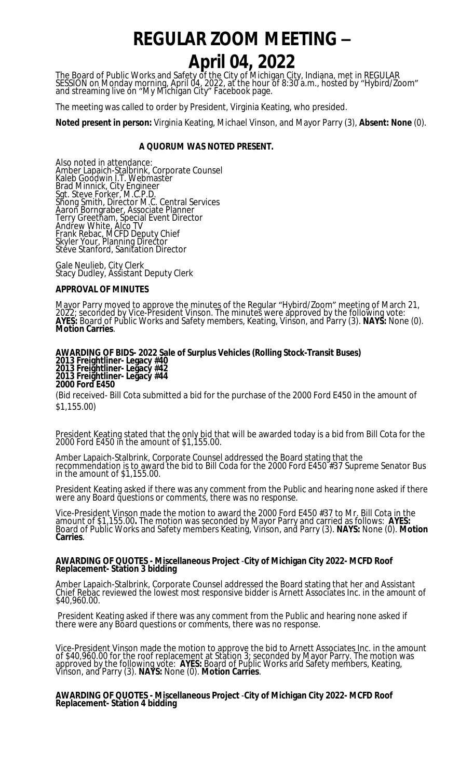# **REGULAR ZOOM MEETING –**

# **April 04, 2022**

The Board of Public Works and Safety of the City of Michigan City, Indiana, met in REGULAR SESSION on Monday morning, April 04, 2022, at the hour of 8:30 a.m., hosted by "Hybird/Zoom" and streaming live ón "My Michigan City" Facebook page.

The meeting was called to order by President, Virginia Keating, who presided.

**Noted present in person:** Virginia Keating, Michael Vinson, and Mayor Parry (3), **Absent: None** (0).

# **A QUORUM WAS NOTED PRESENT.**

Also noted in attendance: Amber Lapaich-Stalbrink, Corporate Counsel Kaleb Goodwin I.T. Webmaster Brad Minnick, City Engineer Sgt. Steve Forker, M.C.P.D. Shong Smith, Director M.C. Central Services Aaron Borngraber, Associate Planner Terry Greetham, Special Event Director Andrew White, Alco TV Frank Rebac, MCFD Deputy Chief Skyler Your, Planning Director Stéve Stanford, Saniťation Director

Gale Neulieb, City Clerk Stacy Dudley, Assistant Deputy Clerk

# **APPROVAL OF MINUTES**

Mayor Parry moved to approve the minutes of the Regular "Hybird/Zoom" meeting of March 21, 2022; seconded by Vice-President Vinson. The minutes were approved by the following vote: **AYES:** Board of Public Works and Safety members, Keating, Vinson, and Parry (3). **NAYS:** None (0). **Motion Carries**.

#### **AWARDING OF BIDS- 2022 Sale of Surplus Vehicles (Rolling Stock-Transit Buses) 2013 Freightliner- Legacy #40 2013 Freightliner- Legacy #42 2013 Freightliner- Legacy #44 2000 Ford E450**

(Bid received- Bill Cota submitted a bid for the purchase of the 2000 Ford E450 in the amount of \$1,155.00)

President Keating stated that the only bid that will be awarded today is a bid from Bill Cota for the 2000 Ford E450 in the amount of \$1,155.00.

Amber Lapaich-Stalbrink, Corporate Counsel addressed the Board stating that the recommendation is to award the bid to Bill Coda for the 2000 Ford E450 #37 Supreme Senator Bus in the amount of \$1,155.00.

President Keating asked if there was any comment from the Public and hearing none asked if there were any Board questions or comments, there was no response.

Vice-President Vinson made the motion to award the 2000 Ford E450 #37 to Mr. Bill Cota in the amount of \$1,155.00**.** The motion was seconded by Mayor Parry and carried as follows: **AYES:**  Board of Public Works and Safety members Keating, Vinson, and Parry (3). **NAYS:** None (0). **Motion Carries**.

# **AWARDING OF QUOTES - Miscellaneous Project** -**City of Michigan City 2022- MCFD Roof Replacement- Station 3 bidding**

Amber Lapaich-Stalbrink, Corporate Counsel addressed the Board stating that her and Assistant Chief Rebac reviewed the lowest most responsive bidder is Arnett Associates Inc. in the amount of \$40,960.00.

President Keating asked if there was any comment from the Public and hearing none asked if there were any Board questions or comments, there was no response.

Vice-President Vinson made the motion to approve the bid to Arnett Associates Inc. in the amount of \$40,960.00 for the roof replacement at Station 3; seconded by Mayor Parry. The motion was approved by the following vote: **AYES:** Board of Public Works and Safety members, Keating, Vinson, and Parry (3). **NAYS:** None (0). **Motion Carries**.

# **AWARDING OF QUOTES - Miscellaneous Project** -**City of Michigan City 2022- MCFD Roof Replacement- Station 4 bidding**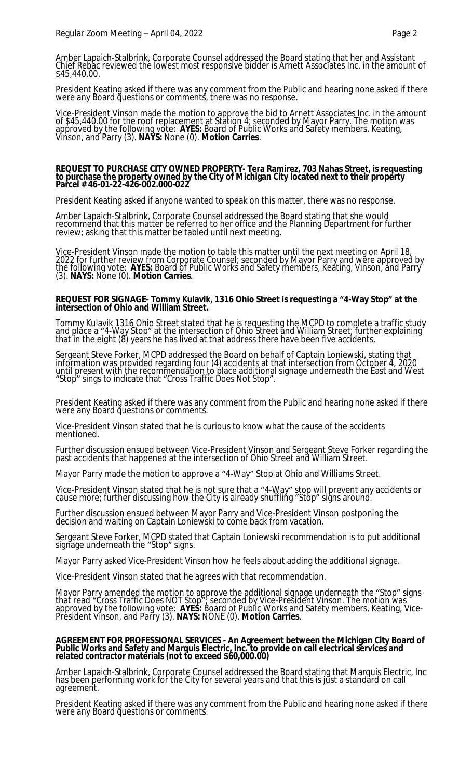Amber Lapaich-Stalbrink, Corporate Counsel addressed the Board stating that her and Assistant Chief Rebac reviewed the lowest most responsive bidder is Arnett Associates Inc. in the amount of \$45,440.00.

President Keating asked if there was any comment from the Public and hearing none asked if there were any Board questions or comments, there was no response.

Vice-President Vinson made the motion to approve the bid to Arnett Associates Inc. in the amount of \$45,440.00 for the roof replacement at Station 4; seconded by Mayor Parry. The motion was approved by the following vote: **AYES:** Board of Public Works and Safety members, Keating, Vinson, and Parry (3). **NAYS:** None (0). **Motion Carries**.

#### **REQUEST TO PURCHASE CITY OWNED PROPERTY- Tera Ramirez, 703 Nahas Street, is requesting to purchase the property owned by the City of Michigan City located next to their property Parcel # 46-01-22-426-002.000-022**

President Keating asked if anyone wanted to speak on this matter, there was no response.

Amber Lapaich-Stalbrink, Corporate Counsel addressed the Board stating that she would recommend that this matter be referred to her office and the Planning Department for further review; asking that this matter be tabled until next meeting.

Vice-President Vinson made the motion to table this matter until the next meeting on April 18, 2022 for further review from Corporate Counsel; seconded by Mayor Parry and were approved by the following vote: **AYES:** Board of Public Works and Safety members, Keating, Vinson, and Parry (3). **NAYS:** None (0). **Motion Carries**.

#### **REQUEST FOR SIGNAGE- Tommy Kulavik, 1316 Ohio Street is requesting a "4-Way Stop" at the intersection of Ohio and William Street.**

Tommy Kulavik 1316 Ohio Street stated that he is requesting the MCPD to complete a traffic study and place a "4-Way Stop" at the intersection of Ohio Street and William Street; further explaining that in the eight (8) years he has lived at that address there have been five accidents.

Sergeant Steve Forker, MCPD addressed the Board on behalf of Captain Loniewski, stating that information was provided regarding four (4) accidents at that intersection from October 4, 2020 until present with the recommendation to place additional signage underneath the East and West "Stop" sings to indicate that "Cross Traffic Does Not Stop".

President Keating asked if there was any comment from the Public and hearing none asked if there were any Board questions or comments.

Vice-President Vinson stated that he is curious to know what the cause of the accidents mentioned.

Further discussion ensued between Vice-President Vinson and Sergeant Steve Forker regarding the past accidents that happened at the intersection of Ohio Street and William Street.

Mayor Parry made the motion to approve a "4-Way" Stop at Ohio and Williams Street.

Vice-President Vinson stated that he is not sure that a "4-Way" stop will prevent any accidents or cause more; further discussing how the City is already shuffling "Stop" signs around.

Further discussion ensued between Mayor Parry and Vice-President Vinson postponing the decision and waiting on Captain Loniewski to come back from vacation.

Sergeant Steve Forker, MCPD stated that Captain Loniewski recommendation is to put additional signage underneath the "Stop" signs.

Mayor Parry asked Vice-President Vinson how he feels about adding the additional signage.

Vice-President Vinson stated that he agrees with that recommendation.

Mayor Parry amended the motion to approve the additional signage underneath the "Stop" signs that read "Cross Traffic Does NOT Stop"; seconded by Vice-President Vinson. The motion was approved by the following vote: **AYES:** Board of Public Works and Safety members, Keating, Vice-President Vinson, and Parry (3). **NAYS:** NONE (0). **Motion Carries**.

#### **AGREEMENT FOR PROFESSIONAL SERVICES - An Agreement between the Michigan City Board of Public Works and Safety and Marquis Electric, Inc. to provide on call electrical services and related contractor materials (not to exceed \$60,000.00)**

Amber Lapaich-Stalbrink, Corporate Counsel addressed the Board stating that Marquis Electric, Inc has been performing work for the City for several years and that this is jŭst a standard on call agreement.

President Keating asked if there was any comment from the Public and hearing none asked if there were any Board questions or comments.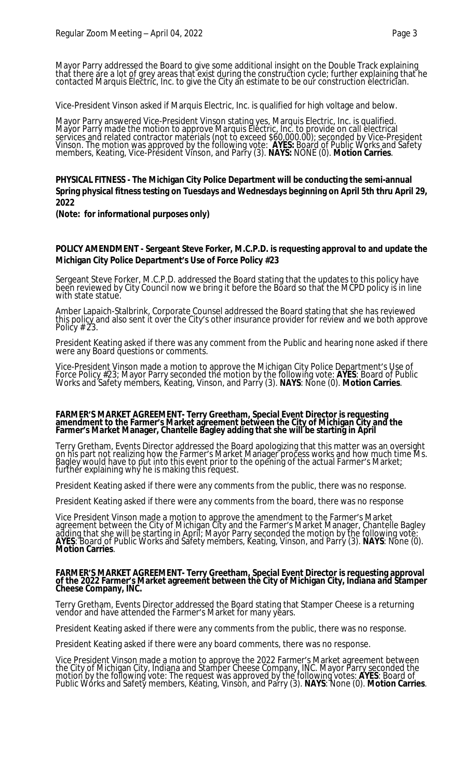Mayor Parry addressed the Board to give some additional insight on the Double Track explaining that there are a lot of grey areas that exist during the construction cycle; further explaining that he contacted Marquis Electric, Inc. to give the City an estimate to be our construction electrician.

Vice-President Vinson asked if Marquis Electric, Inc. is qualified for high voltage and below.

Mayor Parry answered Vice-President Vinson stating yes, Marquis Electric, Inc. is qualified. Mayor Parry made the motion to approve Marquis Electric, Inc. to provide on call electrical services and related contractor materials (not to exceed \$60,000.00); seconded by Vice-President Vinson. The motion was approved by the following vote: **AYES:** Board of Public Works and Safety members, Keating, Vice-President Vinson, and Parry (3). **NAYS:** NONE (0). **Motion Carries**.

**PHYSICAL FITNESS - The Michigan City Police Department will be conducting the semi-annual Spring physical fitness testing on Tuesdays and Wednesdays beginning on April 5th thru April 29, 2022** 

**(Note: for informational purposes only)**

# **POLICY AMENDMENT - Sergeant Steve Forker, M.C.P.D. is requesting approval to and update the Michigan City Police Department's Use of Force Policy #23**

Sergeant Steve Forker, M.C.P.D. addressed the Board stating that the updates to this policy have been reviewed by City Council now we bring it before the Board so that the MCPD policy is in line with state statue.

Amber Lapaich-Stalbrink, Corporate Counsel addressed the Board stating that she has reviewed this policy and also sent it over the City's other insurance provider for review and we both approve Policy # 23.

President Keating asked if there was any comment from the Public and hearing none asked if there were any Board questions or comments.

Vice-President Vinson made a motion to approve the Michigan City Police Department's Use of Force Policy #23; Mayor Parry seconded the motion by the following vote: **AYES**: Board of Public Works and Safety members, Keating, Vinson, and Parry (3). **NAYS**: None (0). **Motion Carries**.

#### **FARMER'S MARKET AGREEMENT- Terry Greetham, Special Event Director is requesting amendment to the Farmer's Market agreement between the City of Michigan City and the Farmer's Market Manager, Chantelle Bagley adding that she will be starting in April**

Terry Gretham, Events Director addressed the Board apologizing that this matter was an oversight on his part not realizing how the Farmer's Market Manager process works and how much time Ms. Bagley would have to put into this event prior to the opening of the actual Farmer's Market; further explaining why he is making this request.

President Keating asked if there were any comments from the public, there was no response.

President Keating asked if there were any comments from the board, there was no response

Vice President Vinson made a motion to approve the amendment to the Farmer's Market agreement between the City of Michigan City and the Farmer's Market Manager, Chantelle Bagley adding that she will be starting in April; Mayor Parry seconded the motion by the following vote: **AYES**: Board of Public Works and Safety members, Keating, Vinson, and Parry (3). **NAYS**: None (0). **Motion Carries**.

#### **FARMER'S MARKET AGREEMENT- Terry Greetham, Special Event Director is requesting approval of the 2022 Farmer's Market agreement between the City of Michigan City, Indiana and Stamper Cheese Company, INC.**

Terry Gretham, Events Director addressed the Board stating that Stamper Cheese is a returning vendor and have attended the Farmer's Market for many years.

President Keating asked if there were any comments from the public, there was no response.

President Keating asked if there were any board comments, there was no response.

Vice President Vinson made a motion to approve the 2022 Farmer's Market agreement between the City of Michigan City, Indiana and Stamper Cheese Company, INC. Mayor Parry seconded the motion by the following vote: The request was approved by the following votes: **AYES**: Board of Public Works and Safety members, Keating, Vinson, and Parry (3). **NAYS**: None (0). **Motion Carries**.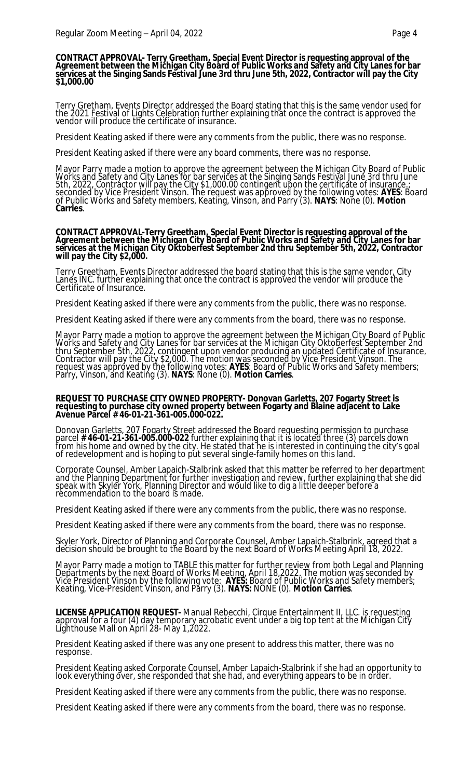#### **CONTRACT APPROVAL- Terry Greetham, Special Event Director is requesting approval of the Agreement between the Michigan City Board of Public Works and Safety and City Lanes for bar services at the Singing Sands Festival June 3rd thru June 5th, 2022, Contractor will pay the City \$1,000.00**

Terry Gretham, Events Director addressed the Board stating that this is the same vendor used for the 2021 Festival of Lights Celebration further explaining that once the contract is approved the vendor will produce the certificate of insurance.

President Keating asked if there were any comments from the public, there was no response.

President Keating asked if there were any board comments, there was no response.

Mayor Parry made a motion to approve the agreement between the Michigan City Board of Public Works and Safety and City Lanes for bar services at the Singing Sands Festival June 3rd thru June 5th, 2022, Contráctor will pay the City \$1,000.00 contingent upon the certificate of insurance.; seconded by Vice President Vinson. The request was approved by the following votes: **AYES**: Board of Public Wórks and Safety members, Keating, Vinson, and Parry (3). **NAYS**: None (0). **Motion Carries**.

#### **CONTRACT APPROVAL-Terry Greetham, Special Event Director is requesting approval of the Agreement between the Michigan City Board of Public Works and Safety and City Lanes for bar services at the Michigan City Oktoberfest September 2nd thru September 5th, 2022, Contractor will pay the City \$2,000.**

Terry Greetham, Events Director addressed the board stating that this is the same vendor, City Lanes INC. further explaining that once the contract is approved the vendor will produce the Certificate of Insurance.

President Keating asked if there were any comments from the public, there was no response.

President Keating asked if there were any comments from the board, there was no response.

Mayor Parry made a motion to approve the agreement between the Michigan City Board of Public Works and Safety and City Lanes for bar services at the Michigan City Oktoberfest September 2nd thru September 5th, 2022, contingent upon vendor producing an updated Certificate of Insurance*,* Contractor will pay the City \$2,000. The motion was seconded by Vice President Vinson. The request was approved by the following votes: **AYES**: Board of Public Works and Safety members; Parry, Vinson, and Keating (3). **NAYS**: None (0). **Motion Carries**.

#### **REQUEST TO PURCHASE CITY OWNED PROPERTY- Donovan Garletts, 207 Fogarty Street is requesting to purchase city owned property between Fogarty and Blaine adjacent to Lake Avenue Parcel # 46-01-21-361-005.000-022.**

Donovan Garletts, 207 Fogarty Street addressed the Board requesting permission to purchase parcel **# 46-01-21-361-005.000-022** further explaining that it is located three (3) parcels down from his home and owned by the city. He stated that he is interested in continuing the city's goal of redevelopment and is hoping to put several single-family homes on this land.

Corporate Counsel, Amber Lapaich-Stalbrink asked that this matter be referred to her department and the Planning Department for further investigation and review, further explaining that she did speak with Skyler York, Planning Director and would like to dig a little deeper before a recommendation to the board is made.

President Keating asked if there were any comments from the public, there was no response.

President Keating asked if there were any comments from the board, there was no response.

Skyler York, Director of Planning and Corporate Counsel, Amber Lapaich-Stalbrink, agreed that a decision should be brought to the Board by the next Board of Works Meeting April 18, 2022.

Mayor Parry made a motion to TABLE this matter for further review from both Legal and Planning Departments by the next Board of Works Meeting, April 18,2022. The motion was seconded by Vice President Vinson by the following vote: **AYES:** Board of Public Works and Safety members; Keating, Vice-President Vinson, and Parry (3). **NAYS:** NONE (0). **Motion Carries**.

**LICENSE APPLICATION REQUEST-** Manual Rebecchi, Cirque Entertainment II, LLC. is requesting approval for a four (4) day temporary acrobatic event under a big top tent at the Michigan City Lighthouse Mall on April 28- May 1,2022.

President Keating asked if there was any one present to address this matter, there was no response.

President Keating asked Corporate Counsel, Amber Lapaich-Stalbrink if she had an opportunity to look everything over, she responded that she had, and everything appears to be in order.

President Keating asked if there were any comments from the public, there was no response.

President Keating asked if there were any comments from the board, there was no response.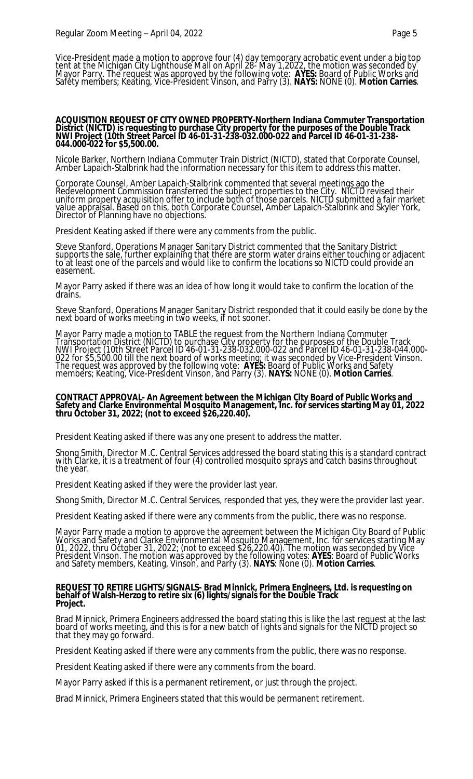Vice-President made a motion to approve four (4) day temporary acrobatic event under a big top tent at the Michigan City Lighthouse Mall on April 28- May 1,2022, the motion was seconded by Mayor Parry. The request was approved by the following vote: **AYES:** Board of Public Works and Safety members; Keating, Vice-President Vinson, and Parry (3). **NAYS:** NONE (0). **Motion Carries**.

#### **ACQUISITION REQUEST OF CITY OWNED PROPERTY-Northern Indiana Commuter Transportation District (NICTD) is requesting to purchase City property for the purposes of the Double Track NWI Project (10th Street Parcel ID 46-01-31-238-032.000-022 and Parcel ID 46-01-31-238- 044.000-022 for \$5,500.00.**

Nicole Barker, Northern Indiana Commuter Train District (NICTD), stated that Corporate Counsel, Amber Lapaich-Stalbrink had the information necessary for this item to address this matter.

Corporate Counsel, Amber Lapaich-Stalbrink commented that several meetings ago the Redevelopment Commission transferred the subject properties to the City. NICTD revised their uniform property acquisition offer to include both of those parcels. NICTD submitted a fair market value appraisal. Based on this, both Corporate Counsel, Amber Lapaich-Stalbrink and Skyler York, Director of Planning have no objections.

President Keating asked if there were any comments from the public.

Steve Stanford, Operations Manager Sanitary District commented that the Sanitary District supports the sale, further explaining that there are storm water drains either touching or adjacent to at least one of the parcels and would like to confirm the locations so NICTD could provide an easement.

Mayor Parry asked if there was an idea of how long it would take to confirm the location of the drains.

Steve Stanford, Operations Manager Sanitary District responded that it could easily be done by the next board of works meeting in two weeks, if not sooner.

Mayor Parry made a motion to TABLE the request from the Northern Indiana Commuter Transportation District (NICTD) to purchase City property for the purposes of the Double Track NWI Project (10th Street Parcel ID 46-01-31-238-032.000-022 and Parcel ID 46-01-31-238-044.000- 022 for \$5,500.00 till the next board of works meeting; it was seconded by Vice-President Vinson. The request was approved by the following vote: **AYES:** Board of Public Works and Safety members; Keating, Vice-President Vinson, and Parry (3). **NAYS:** NONE (0). **Motion Carries**.

#### **CONTRACT APPROVAL- An Agreement between the Michigan City Board of Public Works and Safety and Clarke Environmental Mosquito Management, Inc. for services starting May 01, 2022 thru October 31, 2022; (not to exceed \$26,220.40).**

President Keating asked if there was any one present to address the matter.

Shong Smith, Director M.C. Central Services addressed the board stating this is a standard contract with Clarke, it is a treatment of four (4) controlled mosquito sprays and catch basins throughout the year.

President Keating asked if they were the provider last year.

Shong Smith, Director M.C. Central Services, responded that yes, they were the provider last year.

President Keating asked if there were any comments from the public, there was no response.

Mayor Parry made a motion to approve the agreement between the Michigan City Board of Public Works and Safety and Clarke Environmental Mosquito Management, Inc. for services starting May 01, 2022, thru October 31, 2022; (not to exceed \$26,220.40). The motion was seconded by Vice President Vinson. The motion was approved by the following votes: **AYES**: Board of Public Works and Safety members, Keating, Vinson, and Parry (3). **NAYS**: None (0). **Motion Carries**.

#### **REQUEST TO RETIRE LIGHTS/SIGNALS- Brad Minnick, Primera Engineers, Ltd. is requesting on behalf of Walsh-Herzog to retire six (6) lights/signals for the Double Track Project.**

Brad Minnick, Primera Engineers addressed the board stating this is like the last request at the last board of works meeting, and this is for a new batch of lights and signals for the NICTD project so that they may go forward.

President Keating asked if there were any comments from the public, there was no response.

President Keating asked if there were any comments from the board.

Mayor Parry asked if this is a permanent retirement, or just through the project.

Brad Minnick, Primera Engineers stated that this would be permanent retirement.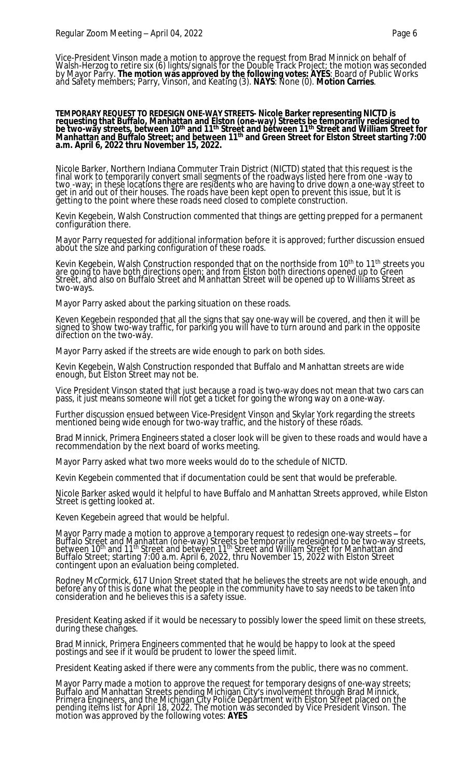Vice-President Vinson made a motion to approve the request from Brad Minnick on behalf of Walsh-Herzog to retire six (6) lights/signals for the Double Track Project; the motion was seconded by Mayor Parry. **The motion was approved by the following votes: AYES**: Board of Public Works and Safety members; Parry, Vinson, and Keating (3). **NAYS**: None (0). **Motion Carries**.

#### **TEMPORARY REQUEST TO REDESIGN ONE-WAY STREETS- Nicole Barker representing NICTD is requesting that Buffalo, Manhattan and Elston (one-way) Streets be temporarily redesigned to be two-way streets, between 10th and 11th Street and between 11th Street and William Street for Manhattan and Buffalo Street; and between 11th and Green Street for Elston Street starting 7:00 a.m. April 6, 2022 thru November 15, 2022.**

Nicole Barker, Northern Indiana Commuter Train District (NICTD) stated that this request is the final work to temporarily convert small segments of the roadways listed here from one -way to two -way; in these locations there are residents who are having to drive down a one-way street to get in and out of their houses. The roads have been kept open to prevent this issue, but it is getting to the point where these roads need closed to complete construction.

Kevin Kegebein, Walsh Construction commented that things are getting prepped for a permanent configuration there.

Mayor Parry requested for additional information before it is approved; further discussion ensued about the size and parking configuration of these roads.

Kevin Kegebein, Walsh Construction responded that on the northside from 10<sup>th</sup> to 11<sup>th</sup> streets you are going to have both directions open; and from Elston both directions opened up to Green Streĕt, añd also on Buffalo Street and Manhattan Street will be opened up to Williams Street as two-ways.

Mayor Parry asked about the parking situation on these roads.

Keven Kegebein responded that all the signs that say one-way will be covered, and then it will be signed to show two-way traffic, for parking you will have to turn around and park in the opposite direction on the two-way.

Mayor Parry asked if the streets are wide enough to park on both sides.

Kevin Kegebein, Walsh Construction responded that Buffalo and Manhattan streets are wide enough, but Elston Street may not be.

Vice President Vinson stated that just because a road is two-way does not mean that two cars can pass, it just means someone will not get a ticket for going the wrong way on a one-way.

Further discussion ensued between Vice-President Vinson and Skylar York regarding the streets mentioned being wide enough for two-way traffic, and the historý of these rŏads.

Brad Minnick, Primera Engineers stated a closer look will be given to these roads and would have a recommendation by the next board of works meeting.

Mayor Parry asked what two more weeks would do to the schedule of NICTD.

Kevin Kegebein commented that if documentation could be sent that would be preferable.

Nicole Barker asked would it helpful to have Buffalo and Manhattan Streets approved, while Elston Street is getting looked at.

Keven Kegebein agreed that would be helpful.

Mayor Parry made a motion to approve a temporary request to redesign one-way streets **–** for Buffalo Street and Manhattan (one-way) Streets be temporarily redesigned to be two-way streets, between 10th and 11th Street and between 11th Street and William Street for Manhattan and Buffalo Street; starting 7:00 a.m. April 6, 2022, thru November 15, 2022 with Elston Street contingent upon an evaluation being completed.

Rodney McCormick, 617 Union Street stated that he believes the streets are not wide enough, and before any of this is done what the people in the community have to say needs to be taken into consideration and he believes this is a safety issue.

President Keating asked if it would be necessary to possibly lower the speed limit on these streets, during these changes.

Brad Minnick, Primera Engineers commented that he would be happy to look at the speed postings and see if it would be prudent to lower the speed limit.

President Keating asked if there were any comments from the public, there was no comment.

Mayor Parry made a motion to approve the request for temporary designs of one-way streets; Buffalo and Manhattan Streets pending Michigan City's involvement through Brad Minnick, Primera Engineers, and the Michigan City Police Department with Elston Street placed on the pending items list for April 18, 2022. The motion was seconded by Vice President Vinson*.* The motion was approved by the following votes: **AYES**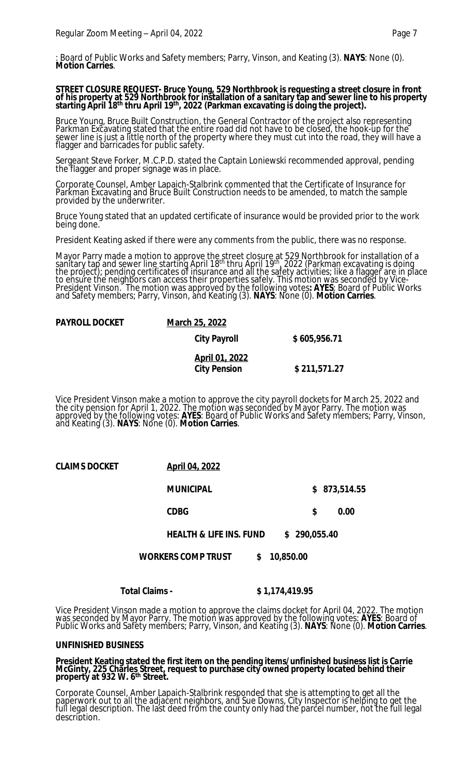: Board of Public Works and Safety members; Parry, Vinson, and Keating (3). **NAYS**: None (0). **Motion Carries**.

#### **STREET CLOSURE REQUEST- Bruce Young, 529 Northbrook is requesting a street closure in front of his property at 529 Northbrook for installation of a sanitary tap and sewer line to his property starting April 18th thru April 19th, 2022 (Parkman excavating is doing the project).**

Bruce Young, Bruce Built Construction, the General Contractor of the project also representing Parkman Excavating stated that the entire road did not have to be closed, the hook-up for the sewer line is just a little north of the property where they must cut into the road, they will have a flagger and barricades for public safety.

Sergeant Steve Forker, M.C.P.D. stated the Captain Loniewski recommended approval, pending the flagger and proper signage was in place.

Corporate Counsel, Amber Lapaich-Stalbrink commented that the Certificate of Insurance for Parkman Excavating and Bruce Built Construction needs to be amended, to match the sample provided by the underwriter.

Bruce Young stated that an updated certificate of insurance would be provided prior to the work being done.

President Keating asked if there were any comments from the public, there was no response.

Mayor Parry made a motion to approve the street closure at 529 Northbrook for installation of a sanitary tap and sewer line starting April 18<sup>th</sup> thru April 19<sup>th</sup>, 2022 (Parkman excavating is doing the project); pending certificates of insurance and all the safety activities; like a flagger are in place to ensure the neighbors can access their properties safely. This motion was seconded by Vice-President Vinson. The motion was approved by the following votes**: AYES**: Board of Public Works and Safety members; Parry, Vinson, and Keating (3). **NAYS**: None (0). **Motion Carries**.

| PAYROLL DOCKET | March 25, 2022                        |              |  |
|----------------|---------------------------------------|--------------|--|
|                | <b>City Payroll</b>                   | \$605,956.71 |  |
|                | April 01, 2022<br><b>City Pension</b> | \$211,571.27 |  |

Vice President Vinson make a motion to approve the city payroll dockets for March 25, 2022 and the city pension for April 1, 2022. The motion was seconded by Mayor Parry. The motion was approved by the following votes: **AYES**: Board of Public Works and Safety members; Parry, Vinson, and Keating (3). **NAYS**: None (0). **Motion Carries**.

CLAIMS DOCKET April 04, 2022

**MUNICIPAL \$ 873,514.55**

**CDBG \$ 0.00**

**HEALTH & LIFE INS. FUND \$ 290,055.40**

 **WORKERS COMP TRUST \$ 10,850.00**

 **Total Claims - \$ 1,174,419.95**

Vice President Vinson made a motion to approve the claims docket for April 04, 2022. The motion was seconded by Mayor Parry. The motion was approved by the following votes: **AYES**: Board of Public Works and Safety members; Parry, Vinson, and Keating (3). **NAYS**: None (0). **Motion Carries**.

# **UNFINISHED BUSINESS**

**President Keating stated the first item on the pending items/unfinished business list is Carrie McGinty, 225 Charles Street, request to purchase city owned property located behind their property at 932 W. 6th Street.**

Corporate Counsel, Amber Lapaich-Stalbrink responded that she is attempting to get all the paperwork out to all the adjacent neighbors, and Sue Downs, City Inspector is helping to get the full legal description. The last deed from the county only had the parcel number, not the full legal description.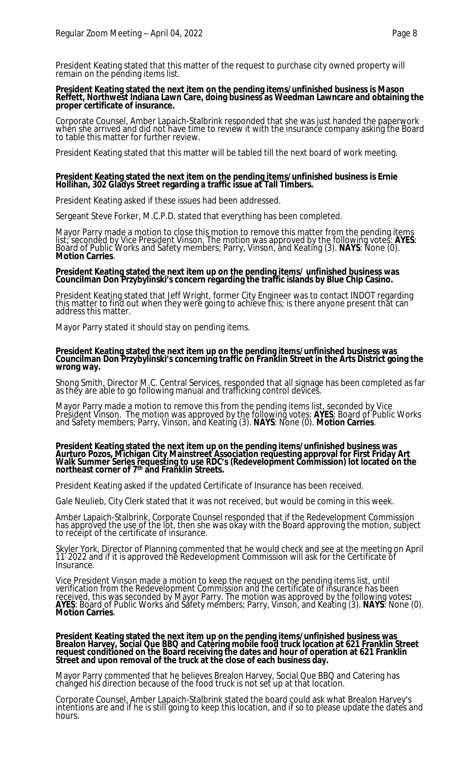President Keating stated that this matter of the request to purchase city owned property will remain on the pending items list.

#### **President Keating stated the next item on the pending items/unfinished business is Mason Reffett, Northwest Indiana Lawn Care, doing business as Weedman Lawncare and obtaining the proper certificate of insurance.**

Corporate Counsel, Amber Lapaich-Stalbrink responded that she was just handed the paperwork when she arrived and did not have time to review it with the insurance company asking the Board to table this matter for further review.

President Keating stated that this matter will be tabled till the next board of work meeting.

# **President Keating stated the next item on the pending items/unfinished business is Ernie Hollihan, 302 Gladys Street regarding a traffic issue at Tall Timbers.**

President Keating asked if these issues had been addressed.

Sergeant Steve Forker, M.C.P.D. stated that everything has been completed.

Mayor Parry made a motion to close this motion to remove this matter from the pending items list; seconded by Vice President Vinson. The motion was approved by the following votes: **AYES**: Board of Public Works and Safety members; Parry, Vinson, and Keating (3). **NAYS**: None (0). **Motion Carries**.

# **President Keating stated the next item up on the pending items/ unfinished business was Councilman Don Przybylinski's concern regarding the traffic islands by Blue Chip Casino.**

President Keating stated that Jeff Wright, former City Engineer was to contact INDOT regarding this matter to find out when they were going to achieve this; is there anyone present that can` address this matter.

Mayor Parry stated it should stay on pending items.

#### **President Keating stated the next item up on the pending items/unfinished business was Councilman Don Przybylinski's concerning traffic on Franklin Street in the Arts District going the wrong way.**

Shong Smith, Director M.C. Central Services, responded that all signage has been completed as far as they are able to go following manual and trafficking control devices.

Mayor Parry made a motion to remove this from the pending items list, seconded by Vice President Vinson. The motion was approved by the following votes: **AYES**: Board of Public Works and Safety members; Parry, Vinson, and Keating (3). **NAYS**: None (0). **Motion Carries**.

#### **President Keating stated the next item up on the pending items/unfinished business was Aurturo Pozos, Michigan City Mainstreet Association requesting approval for First Friday Art Walk Summer Series requesting to use RDC's (Redevelopment Commission) lot located on the northeast corner of 7th and Franklin Streets.**

President Keating asked if the updated Certificate of Insurance has been received.

Gale Neulieb, City Clerk stated that it was not received, but would be coming in this week.

Amber Lapaich-Stalbrink, Corporate Counsel responded that if the Redevelopment Commission has approved the use of the lot, then she was okay with the Board approving the motion, subject to receipt of the certificate of insurance.

Skyler York, Director of Planning commented that he would check and see at the meeting on April 11, 2022 and if it is approved the Redevelopment Commission will ask for the Certificate of Insurance.

Vice President Vinson made a motion to keep the request on the pending items list, until verification from the Redevelopment Commission and the certificate of insurance has been received, this was seconded by Mayor Parry. The motion was approved by the following votes**: AYES**: Board of Public Works and Safety members; Parry, Vinson, and Keating (3). **NAYS**: None (0). **Motion Carries**.

**President Keating stated the next item up on the pending items/unfinished business was Brealon Harvey, Social Que BBQ and Catering mobile food truck location at 621 Franklin Street request conditioned on the Board receiving the dates and hour of operation at 621 Franklin Street and upon removal of the truck at the close of each business day.** 

Mayor Parry commented that he believes Brealon Harvey, Social Que BBQ and Catering has changed his direction because of the food truck is not set up at that location.

Corporate Counsel, Amber Lapaich-Stalbrink stated the board could ask what Brealon Harvey's intentions are and if he is still going to keep this location, and if so to please update the dates and hours.